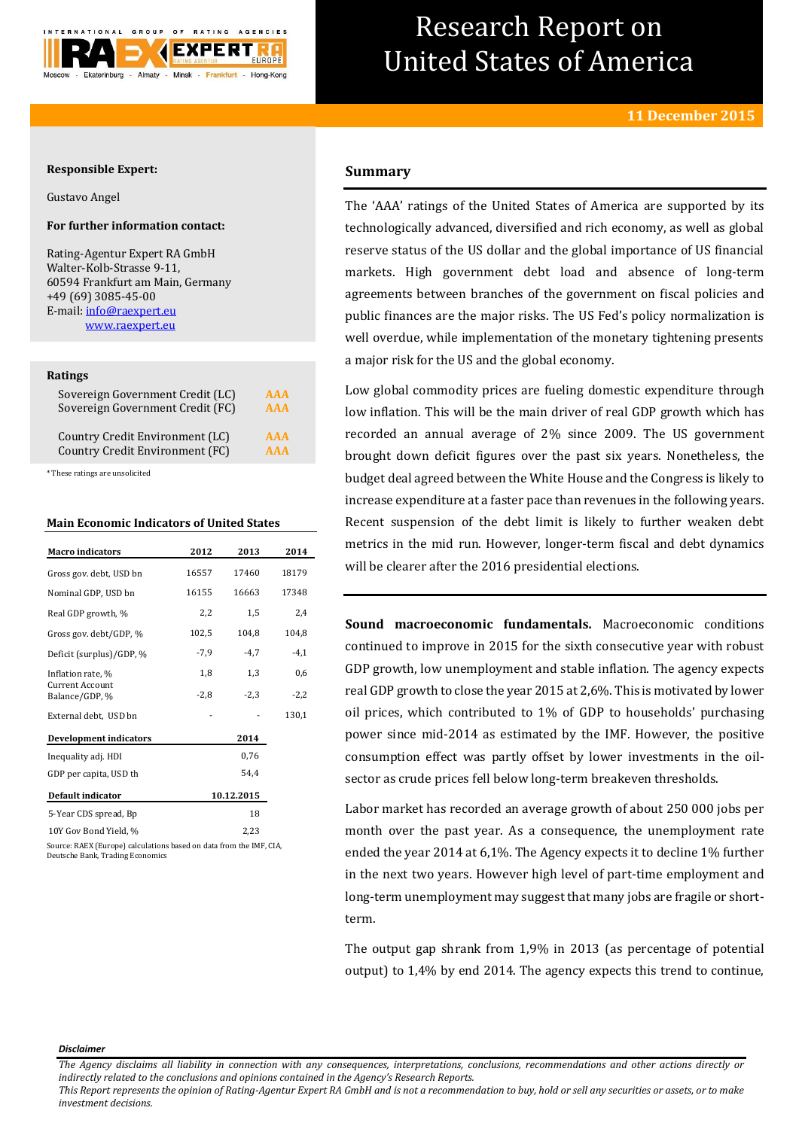

# Research Report on United States of America

## **Responsible Expert:**

Gustavo Angel

## **For further information contact:**

Rating-Agentur Expert RA GmbH Walter-Kolb-Strasse 9-11, 60594 Frankfurt am Main, Germany +49 (69) 3085-45-00 E-mail[: info@raexpert.eu](mailto:info@raexpert.eu) [www.raexpert.eu](http://raexpert.eu/)

#### **Ratings**

| Sovereign Government Credit (LC) | <b>AAA</b> |
|----------------------------------|------------|
| Sovereign Government Credit (FC) | <b>AAA</b> |
| Country Credit Environment (LC)  | <b>AAA</b> |
| Country Credit Environment (FC)  | <b>AAA</b> |

\* These ratings are unsolicited

## **Main Economic Indicators of United States**

| <b>Macro</b> indicators                                             | 2012   | 2013       | 2014   |
|---------------------------------------------------------------------|--------|------------|--------|
| Gross gov. debt, USD bn                                             | 16557  | 17460      | 18179  |
| Nominal GDP, USD bn                                                 | 16155  | 16663      | 17348  |
| Real GDP growth, %                                                  | 2,2    | 1,5        | 2,4    |
| Gross gov. debt/GDP, %                                              | 102,5  | 104,8      | 104,8  |
| Deficit (surplus)/GDP, %                                            | $-7,9$ | $-4.7$     | $-4,1$ |
| Inflation rate, %                                                   | 1,8    | 1,3        | 0,6    |
| <b>Current Account</b><br>Balance/GDP, %                            | $-2,8$ | $-2.3$     | $-2,2$ |
| External debt, USD bn                                               |        |            | 130,1  |
| <b>Development indicators</b>                                       |        | 2014       |        |
| Inequality adj. HDI                                                 |        | 0,76       |        |
| GDP per capita, USD th                                              |        | 54,4       |        |
| Default indicator                                                   |        | 10.12.2015 |        |
| 5-Year CDS spread, Bp                                               |        | 18         |        |
| 10Y Gov Bond Yield, %                                               |        | 2,23       |        |
| Source: RAEX (Europe) calculations based on data from the IMF, CIA. |        |            |        |

Source: RAEX (Europe) calculations based on data from the IMF, CIA, Deutsche Bank, Trading Economics

## **Summary**

The 'AAA' ratings of the United States of America are supported by its technologically advanced, diversified and rich economy, as well as global reserve status of the US dollar and the global importance of US financial markets. High government debt load and absence of long-term agreements between branches of the government on fiscal policies and public finances are the major risks. The US Fed's policy normalization is well overdue, while implementation of the monetary tightening presents a major risk for the US and the global economy.

Low global commodity prices are fueling domestic expenditure through low inflation. This will be the main driver of real GDP growth which has recorded an annual average of 2% since 2009. The US government brought down deficit figures over the past six years. Nonetheless, the budget deal agreed between the White House and the Congress is likely to increase expenditure at a faster pace than revenues in the following years. Recent suspension of the debt limit is likely to further weaken debt metrics in the mid run. However, longer-term fiscal and debt dynamics will be clearer after the 2016 presidential elections.

**Sound macroeconomic fundamentals.** Macroeconomic conditions continued to improve in 2015 for the sixth consecutive year with robust GDP growth, low unemployment and stable inflation. The agency expects real GDP growth to close the year 2015 at 2,6%. This is motivated by lower oil prices, which contributed to 1% of GDP to households' purchasing power since mid-2014 as estimated by the IMF. However, the positive consumption effect was partly offset by lower investments in the oilsector as crude prices fell below long-term breakeven thresholds.

Labor market has recorded an average growth of about 250 000 jobs per month over the past year. As a consequence, the unemployment rate ended the year 2014 at 6,1%. The Agency expects it to decline 1% further in the next two years. However high level of part-time employment and long-term unemployment may suggest that many jobs are fragile or shortterm.

The output gap shrank from 1,9% in 2013 (as percentage of potential output) to 1,4% by end 2014. The agency expects this trend to continue,

#### *Disclaimer*

*This Report represents the opinion of Rating-Agentur Expert RA GmbH and is not a recommendation to buy, hold or sell any securities or assets, or to make investment decisions.*

*The Agency disclaims all liability in connection with any consequences, interpretations, conclusions, recommendations and other actions directly or indirectly related to the conclusions and opinions contained in the Agency's Research Reports.*